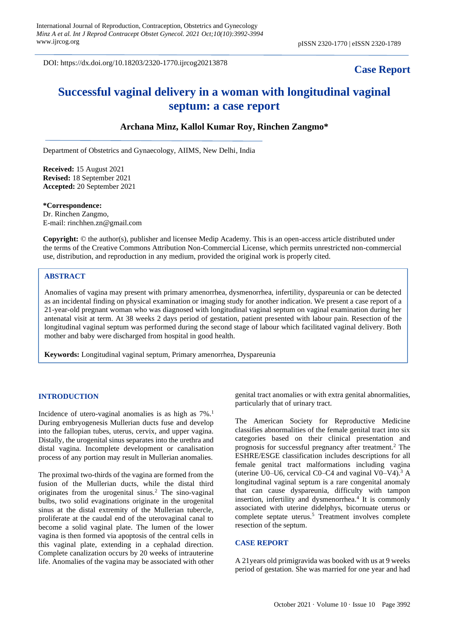DOI: https://dx.doi.org/10.18203/2320-1770.ijrcog20213878

# **Case Report**

# **Successful vaginal delivery in a woman with longitudinal vaginal septum: a case report**

# **Archana Minz, Kallol Kumar Roy, Rinchen Zangmo\***

Department of Obstetrics and Gynaecology, AIIMS, New Delhi, India

**Received:** 15 August 2021 **Revised:** 18 September 2021 **Accepted:** 20 September 2021

**\*Correspondence:** Dr. Rinchen Zangmo, E-mail: rinchhen.zn@gmail.com

**Copyright:** © the author(s), publisher and licensee Medip Academy. This is an open-access article distributed under the terms of the Creative Commons Attribution Non-Commercial License, which permits unrestricted non-commercial use, distribution, and reproduction in any medium, provided the original work is properly cited.

### **ABSTRACT**

Anomalies of vagina may present with primary amenorrhea, dysmenorrhea, infertility, dyspareunia or can be detected as an incidental finding on physical examination or imaging study for another indication. We present a case report of a 21-year-old pregnant woman who was diagnosed with longitudinal vaginal septum on vaginal examination during her antenatal visit at term. At 38 weeks 2 days period of gestation, patient presented with labour pain. Resection of the longitudinal vaginal septum was performed during the second stage of labour which facilitated vaginal delivery. Both mother and baby were discharged from hospital in good health.

**Keywords:** Longitudinal vaginal septum, Primary amenorrhea, Dyspareunia

#### **INTRODUCTION**

Incidence of utero-vaginal anomalies is as high as  $7\%$ .<sup>1</sup> During embryogenesis Mullerian ducts fuse and develop into the fallopian tubes, uterus, cervix, and upper vagina. Distally, the urogenital sinus separates into the urethra and distal vagina. Incomplete development or canalisation process of any portion may result in Mullerian anomalies.

The proximal two-thirds of the vagina are formed from the fusion of the Mullerian ducts, while the distal third originates from the urogenital sinus.<sup>2</sup> The sino-vaginal bulbs, two solid evaginations originate in the urogenital sinus at the distal extremity of the Mullerian tubercle, proliferate at the caudal end of the uterovaginal canal to become a solid vaginal plate. The lumen of the lower vagina is then formed via apoptosis of the central cells in this vaginal plate, extending in a cephalad direction. Complete canalization occurs by 20 weeks of intrauterine life. Anomalies of the vagina may be associated with other genital tract anomalies or with extra genital abnormalities, particularly that of urinary tract.

The American Society for Reproductive Medicine classifies abnormalities of the female genital tract into six categories based on their clinical presentation and prognosis for successful pregnancy after treatment.<sup>2</sup> The ESHRE/ESGE classification includes descriptions for all female genital tract malformations including vagina (uterine U0–U6, cervical C0–C4 and vaginal V0–V4).<sup>3</sup> A longitudinal vaginal septum is a rare congenital anomaly that can cause dyspareunia, difficulty with tampon insertion, infertility and dysmenorrhea.<sup>4</sup> It is commonly associated with uterine didelphys, bicornuate uterus or complete septate uterus.<sup>5</sup> Treatment involves complete resection of the septum.

#### **CASE REPORT**

A 21years old primigravida was booked with us at 9 weeks period of gestation. She was married for one year and had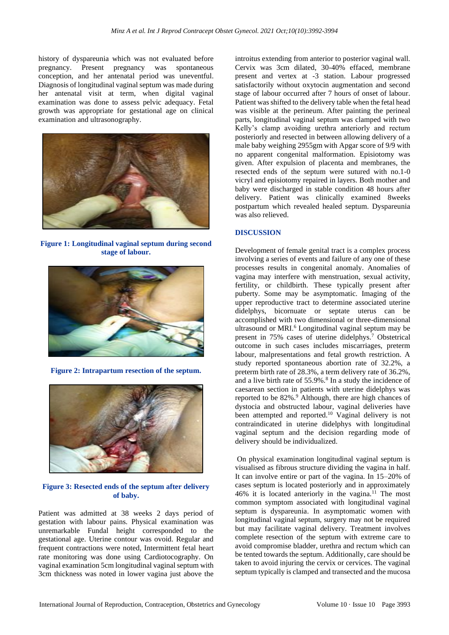history of dyspareunia which was not evaluated before pregnancy. Present pregnancy was spontaneous conception, and her antenatal period was uneventful. Diagnosis of longitudinal vaginal septum was made during her antenatal visit at term, when digital vaginal examination was done to assess pelvic adequacy. Fetal growth was appropriate for gestational age on clinical examination and ultrasonography.



**Figure 1: Longitudinal vaginal septum during second stage of labour.**



**Figure 2: Intrapartum resection of the septum.**



**Figure 3: Resected ends of the septum after delivery of baby.**

Patient was admitted at 38 weeks 2 days period of gestation with labour pains. Physical examination was unremarkable Fundal height corresponded to the gestational age. Uterine contour was ovoid. Regular and frequent contractions were noted, Intermittent fetal heart rate monitoring was done using Cardiotocography. On vaginal examination 5cm longitudinal vaginal septum with 3cm thickness was noted in lower vagina just above the introitus extending from anterior to posterior vaginal wall. Cervix was 3cm dilated, 30-40% effaced, membrane present and vertex at -3 station. Labour progressed satisfactorily without oxytocin augmentation and second stage of labour occurred after 7 hours of onset of labour. Patient was shifted to the delivery table when the fetal head was visible at the perineum. After painting the perineal parts, longitudinal vaginal septum was clamped with two Kelly's clamp avoiding urethra anteriorly and rectum posteriorly and resected in between allowing delivery of a male baby weighing 2955gm with Apgar score of 9/9 with no apparent congenital malformation. Episiotomy was given. After expulsion of placenta and membranes, the resected ends of the septum were sutured with no.1-0 vicryl and episiotomy repaired in layers. Both mother and baby were discharged in stable condition 48 hours after delivery. Patient was clinically examined 8weeks postpartum which revealed healed septum. Dyspareunia was also relieved.

# **DISCUSSION**

Development of female genital tract is a complex process involving a series of events and failure of any one of these processes results in congenital anomaly. Anomalies of vagina may interfere with menstruation, sexual activity, fertility, or childbirth. These typically present after puberty. Some may be asymptomatic. Imaging of the upper reproductive tract to determine associated uterine didelphys, bicornuate or septate uterus can be accomplished with two dimensional or three-dimensional ultrasound or MRI.<sup>6</sup> Longitudinal vaginal septum may be present in 75% cases of uterine didelphys.<sup>7</sup> Obstetrical outcome in such cases includes miscarriages, preterm labour, malpresentations and fetal growth restriction. A study reported spontaneous abortion rate of 32.2%, a preterm birth rate of 28.3%, a term delivery rate of 36.2%, and a live birth rate of 55.9%.<sup>8</sup> In a study the incidence of caesarean section in patients with uterine didelphys was reported to be 82%.<sup>9</sup> Although, there are high chances of dystocia and obstructed labour, vaginal deliveries have been attempted and reported.<sup>10</sup> Vaginal delivery is not contraindicated in uterine didelphys with longitudinal vaginal septum and the decision regarding mode of delivery should be individualized.

On physical examination longitudinal vaginal septum is visualised as fibrous structure dividing the vagina in half. It can involve entire or part of the vagina. In 15–20% of cases septum is located posteriorly and in approximately 46% it is located anteriorly in the vagina.<sup>11</sup> The most common symptom associated with longitudinal vaginal septum is dyspareunia. In asymptomatic women with longitudinal vaginal septum, surgery may not be required but may facilitate vaginal delivery. Treatment involves complete resection of the septum with extreme care to avoid compromise bladder, urethra and rectum which can be tented towards the septum. Additionally, care should be taken to avoid injuring the cervix or cervices. The vaginal septum typically is clamped and transected and the mucosa